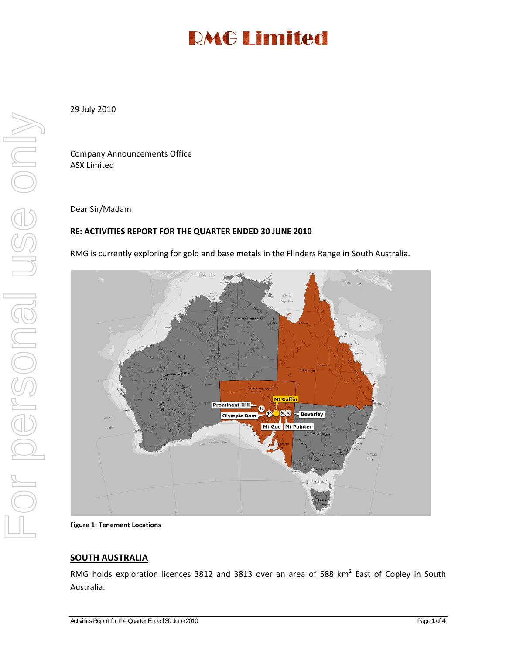29 July 2010

Company Announcements Office ASX Limited

Dear Sir/Madam

#### **RE: ACTIVITIES REPORT FOR THE QUARTER ENDED 30 JUNE 2010**

RMG is currently exploring for gold and base metals in the Flinders Range in South Australia.



**Figure 1: Tenement Locations**

#### **SOUTH AUSTRALIA**

RMG holds exploration licences 3812 and 3813 over an area of 588 km<sup>2</sup> East of Copley in South Australia.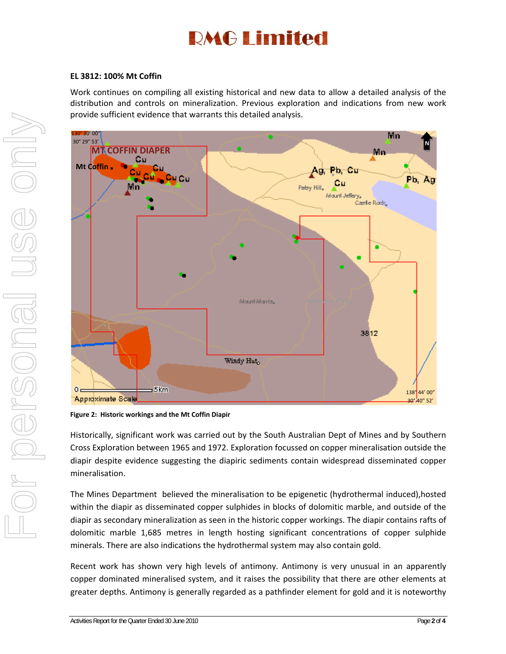#### **EL 3812: 100% Mt Coffin**

Work continues on compiling all existing historical and new data to allow a detailed analysis of the distribution and controls on mineralization. Previous exploration and indications from new work provide sufficient evidence that warrants this detailed analysis.



**Figure 2: Historic workings and the Mt Coffin Diapir**

Historically, significant work was carried out by the South Australian Dept of Mines and by Southern Cross Exploration between 1965 and 1972. Exploration focussed on copper mineralisation outside the diapir despite evidence suggesting the diapiric sediments contain widespread disseminated copper mineralisation.

The Mines Department believed the mineralisation to be epigenetic (hydrothermal induced),hosted within the diapir as disseminated copper sulphides in blocks of dolomitic marble, and outside of the diapir as secondary mineralization as seen in the historic copper workings. The diapir contains rafts of dolomitic marble 1,685 metres in length hosting significant concentrations of copper sulphide minerals. There are also indications the hydrothermal system may also contain gold.

Recent work has shown very high levels of antimony. Antimony is very unusual in an apparently copper dominated mineralised system, and it raises the possibility that there are other elements at greater depths. Antimony is generally regarded as a pathfinder element for gold and it is noteworthy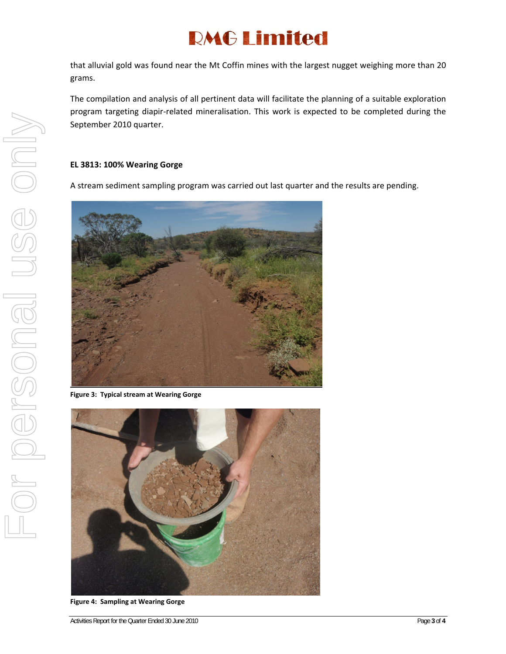that alluvial gold was found near the Mt Coffin mines with the largest nugget weighing more than 20 grams.

The compilation and analysis of all pertinent data will facilitate the planning of a suitable exploration program targeting diapir‐related mineralisation. This work is expected to be completed during the September 2010 quarter.

#### **EL 3813: 100% Wearing Gorge**

A stream sediment sampling program was carried out last quarter and the results are pending.



**Figure 3: Typical stream at Wearing Gorge**



**Figure 4: Sampling at Wearing Gorge**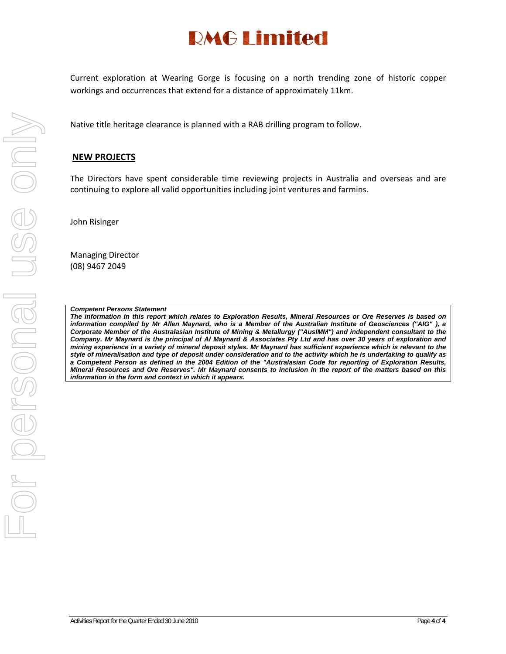Current exploration at Wearing Gorge is focusing on a north trending zone of historic copper workings and occurrences that extend for a distance of approximately 11km.

Native title heritage clearance is planned with a RAB drilling program to follow.

#### **NEW PROJECTS**

The Directors have spent considerable time reviewing projects in Australia and overseas and are continuing to explore all valid opportunities including joint ventures and farmins.

John Risinger

Managing Director (08) 9467 2049

#### *Competent Persons Statement*

*The information in this report which relates to Exploration Results, Mineral Resources or Ore Reserves is based on information compiled by Mr Allen Maynard, who is a Member of the Australian Institute of Geosciences ("AIG" ), a Corporate Member of the Australasian Institute of Mining & Metallurgy ("AusIMM") and independent consultant to the Company. Mr Maynard is the principal of Al Maynard & Associates Pty Ltd and has over 30 years of exploration and mining experience in a variety of mineral deposit styles. Mr Maynard has sufficient experience which is relevant to the style of mineralisation and type of deposit under consideration and to the activity which he is undertaking to qualify as a Competent Person as defined in the 2004 Edition of the "Australasian Code for reporting of Exploration Results, Mineral Resources and Ore Reserves". Mr Maynard consents to inclusion in the report of the matters based on this information in the form and context in which it appears.*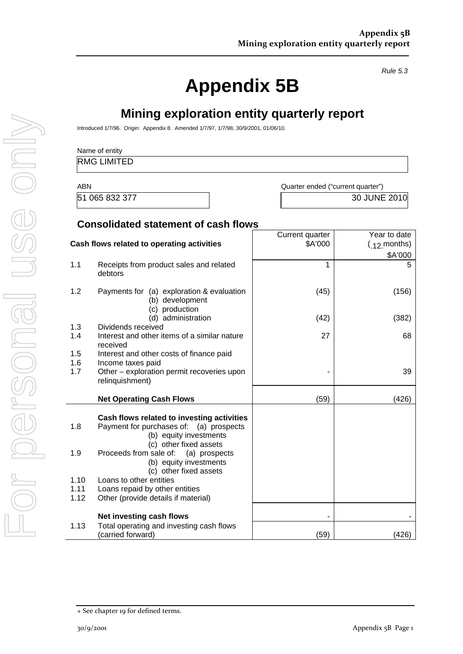*Rule 5.3* 

# **Appendix 5B**

**Mining exploration entity quarterly report** 

|            | <b>RMG LIMITED</b>                                                                                                                        |                                   |                                                  |
|------------|-------------------------------------------------------------------------------------------------------------------------------------------|-----------------------------------|--------------------------------------------------|
| <b>ABN</b> |                                                                                                                                           | Quarter ended ("current quarter") |                                                  |
|            | 51 065 832 377                                                                                                                            |                                   | 30 JUNE 2010                                     |
|            | <b>Consolidated statement of cash flows</b>                                                                                               |                                   |                                                  |
|            | Cash flows related to operating activities                                                                                                | Current quarter<br>\$A'000        | Year to date<br>$(12 \text{ months})$<br>\$A'000 |
| 1.1        | Receipts from product sales and related<br>debtors                                                                                        | 1                                 | 5                                                |
| 1.2        | Payments for (a) exploration & evaluation<br>(b) development                                                                              | (45)                              | (156)                                            |
|            | (c) production<br>(d) administration                                                                                                      | (42)                              | (382)                                            |
| 1.3<br>1.4 | Dividends received<br>Interest and other items of a similar nature<br>received                                                            | 27                                | 68                                               |
| 1.5<br>1.6 | Interest and other costs of finance paid                                                                                                  |                                   |                                                  |
| 1.7        | Income taxes paid<br>Other - exploration permit recoveries upon<br>relinquishment)                                                        |                                   | 39                                               |
|            | <b>Net Operating Cash Flows</b>                                                                                                           | (59)                              | (426)                                            |
| 1.8        | Cash flows related to investing activities<br>Payment for purchases of: (a) prospects<br>(b) equity investments<br>(c) other fixed assets |                                   |                                                  |
| 1.9        | Proceeds from sale of:<br>(a) prospects<br>(b) equity investments<br>(c) other fixed assets                                               |                                   |                                                  |
| 1.10       | Loans to other entities                                                                                                                   |                                   |                                                  |
| 1.11       | Loans repaid by other entities                                                                                                            |                                   |                                                  |
| 1.12       | Other (provide details if material)                                                                                                       |                                   |                                                  |
| 1.13       | Net investing cash flows<br>Total operating and investing cash flows                                                                      |                                   |                                                  |
|            | (carried forward)                                                                                                                         | (59)                              | (426)                                            |

<sup>+</sup> See chapter 19 for defined terms.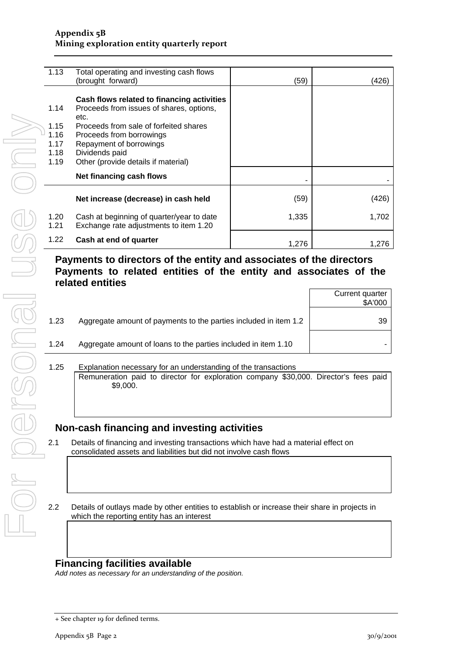#### **Appendix 5B Mining exploration entity quarterly report**

| 1.13                                         | Total operating and investing cash flows<br>(brought forward)                                                                                                                                                                                            | (59)  | 426)  |
|----------------------------------------------|----------------------------------------------------------------------------------------------------------------------------------------------------------------------------------------------------------------------------------------------------------|-------|-------|
| 1.14<br>1.15<br>1.16<br>1.17<br>1.18<br>1.19 | Cash flows related to financing activities<br>Proceeds from issues of shares, options,<br>etc.<br>Proceeds from sale of forfeited shares<br>Proceeds from borrowings<br>Repayment of borrowings<br>Dividends paid<br>Other (provide details if material) |       |       |
|                                              | Net financing cash flows                                                                                                                                                                                                                                 |       |       |
|                                              | Net increase (decrease) in cash held                                                                                                                                                                                                                     | (59)  | (426) |
| 1.20<br>1.21                                 | Cash at beginning of quarter/year to date<br>Exchange rate adjustments to item 1.20                                                                                                                                                                      | 1,335 | 1,702 |
| 1.22                                         | Cash at end of quarter                                                                                                                                                                                                                                   | 1,276 | 1.276 |

### **Payments to directors of the entity and associates of the directors Payments to related entities of the entity and associates of the related entities**

|      |                                                                  | Current quarter<br>\$A'000 |
|------|------------------------------------------------------------------|----------------------------|
| 1.23 | Aggregate amount of payments to the parties included in item 1.2 | 39                         |
| 1.24 | Aggregate amount of loans to the parties included in item 1.10   |                            |
|      |                                                                  |                            |

1.25 Explanation necessary for an understanding of the transactions Remuneration paid to director for exploration company \$30,000. Director's fees paid \$9,000.

## **Non-cash financing and investing activities**

- 2.1 Details of financing and investing transactions which have had a material effect on consolidated assets and liabilities but did not involve cash flows
- 2.2 Details of outlays made by other entities to establish or increase their share in projects in which the reporting entity has an interest

### **Financing facilities available**

*Add notes as necessary for an understanding of the position.* 

<sup>+</sup> See chapter 19 for defined terms.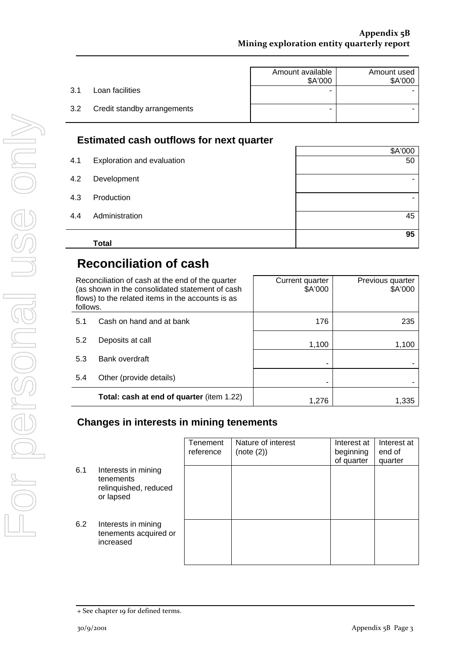|                                    | Amount available<br>\$A'000 | Amount used<br>\$A'000 |
|------------------------------------|-----------------------------|------------------------|
| Loan facilities<br>3.1             | ۰                           |                        |
| Credit standby arrangements<br>3.2 | -                           |                        |

### **Estimated cash outflows for next quarter**

|     | <b>Total</b>               | 95      |
|-----|----------------------------|---------|
| 4.4 | Administration             | 45      |
| 4.3 | Production                 |         |
| 4.2 | Development                |         |
| 4.1 | Exploration and evaluation | 50      |
|     |                            | \$A'000 |

# **Reconciliation of cash**

| follows. | Reconciliation of cash at the end of the quarter<br>(as shown in the consolidated statement of cash<br>flows) to the related items in the accounts is as | Current quarter<br>\$A'000 | Previous quarter<br>\$A'000 |
|----------|----------------------------------------------------------------------------------------------------------------------------------------------------------|----------------------------|-----------------------------|
| 5.1      | Cash on hand and at bank                                                                                                                                 | 176                        | 235                         |
| 5.2      | Deposits at call                                                                                                                                         | 1,100                      | 1,100                       |
| 5.3      | Bank overdraft                                                                                                                                           |                            |                             |
| 5.4      | Other (provide details)                                                                                                                                  |                            |                             |
|          | Total: cash at end of quarter (item 1.22)                                                                                                                | 1.276                      | 1.335                       |

## **Changes in interests in mining tenements**

|     |                                                                        | <b>Tenement</b><br>reference | Nature of interest<br>(note (2)) | Interest at<br>beginning<br>of quarter | Interest at<br>end of<br>quarter |
|-----|------------------------------------------------------------------------|------------------------------|----------------------------------|----------------------------------------|----------------------------------|
| 6.1 | Interests in mining<br>tenements<br>relinquished, reduced<br>or lapsed |                              |                                  |                                        |                                  |
| 6.2 | Interests in mining<br>tenements acquired or<br>increased              |                              |                                  |                                        |                                  |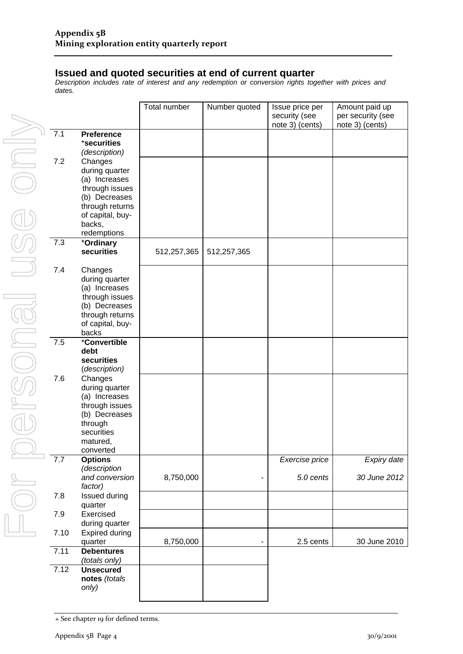### **Issued and quoted securities at end of current quarter**

*Description includes rate of interest and any redemption or conversion rights together with prices and dates.* 

|      |                                                                                                                                 | Total number | Number quoted | Issue price per<br>security (see<br>note 3) (cents) | Amount paid up<br>per security (see<br>note 3) (cents) |
|------|---------------------------------------------------------------------------------------------------------------------------------|--------------|---------------|-----------------------------------------------------|--------------------------------------------------------|
| 7.1  | <b>Preference</b><br>*securities<br>(description)                                                                               |              |               |                                                     |                                                        |
| 7.2  | Changes<br>during quarter<br>(a) Increases<br>through issues<br>(b) Decreases<br>through returns<br>of capital, buy-<br>backs,  |              |               |                                                     |                                                        |
| 7.3  | redemptions                                                                                                                     |              |               |                                                     |                                                        |
|      | +Ordinary<br>securities                                                                                                         | 512,257,365  | 512,257,365   |                                                     |                                                        |
| 7.4  | Changes<br>during quarter<br>(a) Increases<br>through issues<br>(b) Decreases<br>through returns<br>of capital, buy-<br>backs   |              |               |                                                     |                                                        |
| 7.5  | +Convertible<br>debt<br>securities<br>(description)                                                                             |              |               |                                                     |                                                        |
| 7.6  | Changes<br>during quarter<br>(a) Increases<br>through issues<br>(b) Decreases<br>through<br>securities<br>matured,<br>converted |              |               |                                                     |                                                        |
| 7.7  | <b>Options</b>                                                                                                                  |              |               | Exercise price                                      | Expiry date                                            |
|      | (description<br>and conversion<br>factor)                                                                                       | 8,750,000    |               | 5.0 cents                                           | 30 June 2012                                           |
| 7.8  | Issued during<br>quarter                                                                                                        |              |               |                                                     |                                                        |
| 7.9  | Exercised<br>during quarter                                                                                                     |              |               |                                                     |                                                        |
| 7.10 | <b>Expired during</b><br>quarter                                                                                                | 8,750,000    |               | 2.5 cents                                           | 30 June 2010                                           |
| 7.11 | <b>Debentures</b><br>(totals only)                                                                                              |              |               |                                                     |                                                        |
| 7.12 | <b>Unsecured</b><br>notes (totals<br>only)                                                                                      |              |               |                                                     |                                                        |

<sup>+</sup> See chapter 19 for defined terms.